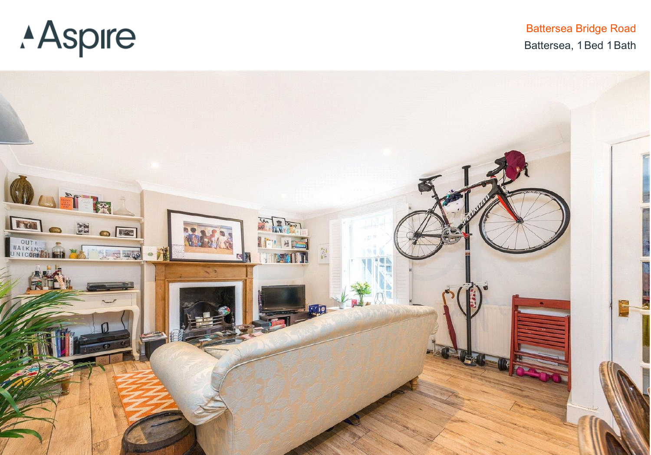## **Aspire**

**Battersea Bridge Road** Battersea, 1 Bed 1 Bath

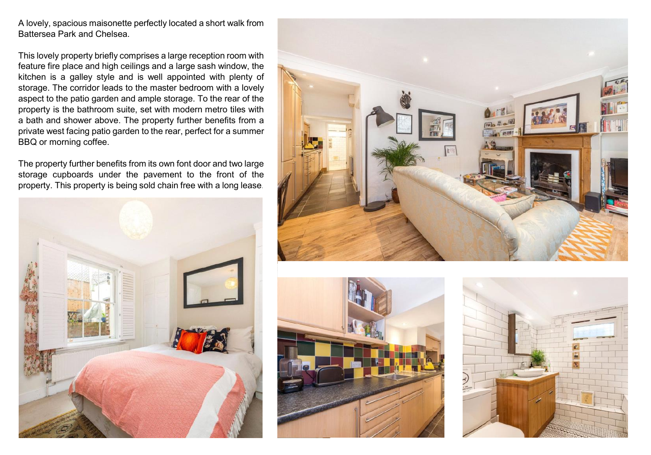A lovely, spacious maisonette perfectly located <sup>a</sup> short walk from Battersea Park and Chelsea.

This lovely property briefly comprises <sup>a</sup> large reception room with feature fire place and high ceilings and <sup>a</sup> large sash window, the kitchen is <sup>a</sup> galley style and is well appointed with plenty of storage. The corridor leads to the master bedroom with <sup>a</sup> lovely aspect to the patio garden and ample storage. To the rear of the property is the bathroom suite, set with modern metro tiles with <sup>a</sup> bath and shower above. The property further benefits from <sup>a</sup> private west facing patio garden to the rear, perfect for <sup>a</sup> summer BBQ or morning coffee.

The property further benefits from its own font door and two large storage cupboards under the pavement to the front of the property. This property is being sold chain free with <sup>a</sup> long lease.







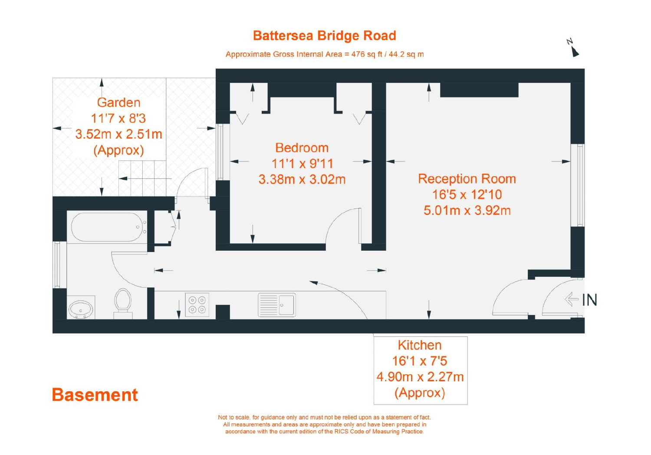## **Battersea Bridge Road**

И

Approximate Gross Internal Area = 476 sq ft / 44.2 sq m



Not to scale, for guidance only and must not be relied upon as a statement of fact. All measurements and areas are approximate only and have been prepared in accordance with the current edition of the RICS Code of Measuring Practice.